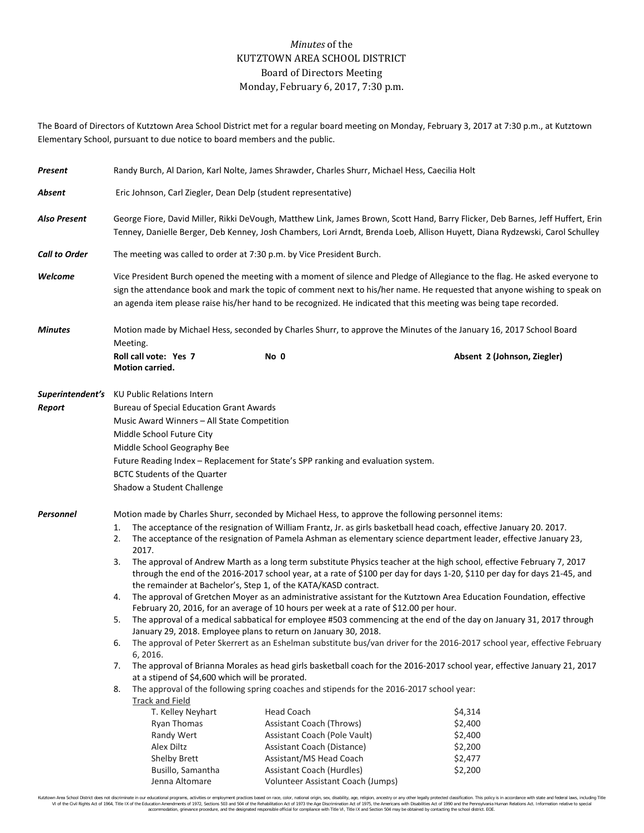## *Minutes* of the KUTZTOWN AREA SCHOOL DISTRICT Board of Directors Meeting Monday, February 6, 2017, 7:30 p.m.

The Board of Directors of Kutztown Area School District met for a regular board meeting on Monday, February 3, 2017 at 7:30 p.m., at Kutztown Elementary School, pursuant to due notice to board members and the public.

| Present              | Randy Burch, Al Darion, Karl Nolte, James Shrawder, Charles Shurr, Michael Hess, Caecilia Holt                                                                                                                                                                                                                                                                                 |                                                                                                                                                                                                                                                                 |                              |                                                                                                                     |                                                                                                                      |  |  |  |
|----------------------|--------------------------------------------------------------------------------------------------------------------------------------------------------------------------------------------------------------------------------------------------------------------------------------------------------------------------------------------------------------------------------|-----------------------------------------------------------------------------------------------------------------------------------------------------------------------------------------------------------------------------------------------------------------|------------------------------|---------------------------------------------------------------------------------------------------------------------|----------------------------------------------------------------------------------------------------------------------|--|--|--|
| Absent               | Eric Johnson, Carl Ziegler, Dean Delp (student representative)                                                                                                                                                                                                                                                                                                                 |                                                                                                                                                                                                                                                                 |                              |                                                                                                                     |                                                                                                                      |  |  |  |
| <b>Also Present</b>  |                                                                                                                                                                                                                                                                                                                                                                                | George Fiore, David Miller, Rikki DeVough, Matthew Link, James Brown, Scott Hand, Barry Flicker, Deb Barnes, Jeff Huffert, Erin<br>Tenney, Danielle Berger, Deb Kenney, Josh Chambers, Lori Arndt, Brenda Loeb, Allison Huyett, Diana Rydzewski, Carol Schulley |                              |                                                                                                                     |                                                                                                                      |  |  |  |
| <b>Call to Order</b> | The meeting was called to order at 7:30 p.m. by Vice President Burch.                                                                                                                                                                                                                                                                                                          |                                                                                                                                                                                                                                                                 |                              |                                                                                                                     |                                                                                                                      |  |  |  |
| Welcome              | Vice President Burch opened the meeting with a moment of silence and Pledge of Allegiance to the flag. He asked everyone to<br>sign the attendance book and mark the topic of comment next to his/her name. He requested that anyone wishing to speak on<br>an agenda item please raise his/her hand to be recognized. He indicated that this meeting was being tape recorded. |                                                                                                                                                                                                                                                                 |                              |                                                                                                                     |                                                                                                                      |  |  |  |
| <b>Minutes</b>       | Motion made by Michael Hess, seconded by Charles Shurr, to approve the Minutes of the January 16, 2017 School Board<br>Meeting.                                                                                                                                                                                                                                                |                                                                                                                                                                                                                                                                 |                              |                                                                                                                     |                                                                                                                      |  |  |  |
|                      |                                                                                                                                                                                                                                                                                                                                                                                | Roll call vote: Yes 7<br>Motion carried.                                                                                                                                                                                                                        | No 0                         |                                                                                                                     | Absent 2 (Johnson, Ziegler)                                                                                          |  |  |  |
|                      | <b>Superintendent's</b> KU Public Relations Intern                                                                                                                                                                                                                                                                                                                             |                                                                                                                                                                                                                                                                 |                              |                                                                                                                     |                                                                                                                      |  |  |  |
| Report               |                                                                                                                                                                                                                                                                                                                                                                                | <b>Bureau of Special Education Grant Awards</b>                                                                                                                                                                                                                 |                              |                                                                                                                     |                                                                                                                      |  |  |  |
|                      | Music Award Winners - All State Competition                                                                                                                                                                                                                                                                                                                                    |                                                                                                                                                                                                                                                                 |                              |                                                                                                                     |                                                                                                                      |  |  |  |
|                      | Middle School Future City                                                                                                                                                                                                                                                                                                                                                      |                                                                                                                                                                                                                                                                 |                              |                                                                                                                     |                                                                                                                      |  |  |  |
|                      |                                                                                                                                                                                                                                                                                                                                                                                |                                                                                                                                                                                                                                                                 |                              |                                                                                                                     |                                                                                                                      |  |  |  |
|                      |                                                                                                                                                                                                                                                                                                                                                                                | Middle School Geography Bee                                                                                                                                                                                                                                     |                              |                                                                                                                     |                                                                                                                      |  |  |  |
|                      |                                                                                                                                                                                                                                                                                                                                                                                | Future Reading Index - Replacement for State's SPP ranking and evaluation system.                                                                                                                                                                               |                              |                                                                                                                     |                                                                                                                      |  |  |  |
|                      | <b>BCTC Students of the Quarter</b>                                                                                                                                                                                                                                                                                                                                            |                                                                                                                                                                                                                                                                 |                              |                                                                                                                     |                                                                                                                      |  |  |  |
|                      |                                                                                                                                                                                                                                                                                                                                                                                | Shadow a Student Challenge                                                                                                                                                                                                                                      |                              |                                                                                                                     |                                                                                                                      |  |  |  |
| Personnel            | Motion made by Charles Shurr, seconded by Michael Hess, to approve the following personnel items:                                                                                                                                                                                                                                                                              |                                                                                                                                                                                                                                                                 |                              |                                                                                                                     |                                                                                                                      |  |  |  |
|                      | 1.                                                                                                                                                                                                                                                                                                                                                                             |                                                                                                                                                                                                                                                                 |                              |                                                                                                                     | The acceptance of the resignation of William Frantz, Jr. as girls basketball head coach, effective January 20. 2017. |  |  |  |
|                      | The acceptance of the resignation of Pamela Ashman as elementary science department leader, effective January 23,<br>2.<br>2017.                                                                                                                                                                                                                                               |                                                                                                                                                                                                                                                                 |                              |                                                                                                                     |                                                                                                                      |  |  |  |
|                      | The approval of Andrew Marth as a long term substitute Physics teacher at the high school, effective February 7, 2017<br>3.                                                                                                                                                                                                                                                    |                                                                                                                                                                                                                                                                 |                              |                                                                                                                     |                                                                                                                      |  |  |  |
|                      | through the end of the 2016-2017 school year, at a rate of \$100 per day for days 1-20, \$110 per day for days 21-45, and<br>the remainder at Bachelor's, Step 1, of the KATA/KASD contract.                                                                                                                                                                                   |                                                                                                                                                                                                                                                                 |                              |                                                                                                                     |                                                                                                                      |  |  |  |
|                      | The approval of Gretchen Moyer as an administrative assistant for the Kutztown Area Education Foundation, effective<br>4.                                                                                                                                                                                                                                                      |                                                                                                                                                                                                                                                                 |                              |                                                                                                                     |                                                                                                                      |  |  |  |
|                      | February 20, 2016, for an average of 10 hours per week at a rate of \$12.00 per hour.                                                                                                                                                                                                                                                                                          |                                                                                                                                                                                                                                                                 |                              |                                                                                                                     |                                                                                                                      |  |  |  |
|                      | 5.                                                                                                                                                                                                                                                                                                                                                                             |                                                                                                                                                                                                                                                                 |                              | The approval of a medical sabbatical for employee #503 commencing at the end of the day on January 31, 2017 through |                                                                                                                      |  |  |  |
|                      | January 29, 2018. Employee plans to return on January 30, 2018.                                                                                                                                                                                                                                                                                                                |                                                                                                                                                                                                                                                                 |                              |                                                                                                                     |                                                                                                                      |  |  |  |
|                      | The approval of Peter Skerrert as an Eshelman substitute bus/van driver for the 2016-2017 school year, effective February<br>6.                                                                                                                                                                                                                                                |                                                                                                                                                                                                                                                                 |                              |                                                                                                                     |                                                                                                                      |  |  |  |
|                      | 6, 2016.                                                                                                                                                                                                                                                                                                                                                                       |                                                                                                                                                                                                                                                                 |                              |                                                                                                                     |                                                                                                                      |  |  |  |
|                      | The approval of Brianna Morales as head girls basketball coach for the 2016-2017 school year, effective January 21, 2017<br>7.                                                                                                                                                                                                                                                 |                                                                                                                                                                                                                                                                 |                              |                                                                                                                     |                                                                                                                      |  |  |  |
|                      |                                                                                                                                                                                                                                                                                                                                                                                | at a stipend of \$4,600 which will be prorated.                                                                                                                                                                                                                 |                              |                                                                                                                     |                                                                                                                      |  |  |  |
|                      | 8.                                                                                                                                                                                                                                                                                                                                                                             | The approval of the following spring coaches and stipends for the 2016-2017 school year:                                                                                                                                                                        |                              |                                                                                                                     |                                                                                                                      |  |  |  |
|                      |                                                                                                                                                                                                                                                                                                                                                                                | <b>Track and Field</b>                                                                                                                                                                                                                                          |                              |                                                                                                                     |                                                                                                                      |  |  |  |
|                      |                                                                                                                                                                                                                                                                                                                                                                                | T. Kelley Neyhart                                                                                                                                                                                                                                               | <b>Head Coach</b>            |                                                                                                                     | \$4,314                                                                                                              |  |  |  |
|                      |                                                                                                                                                                                                                                                                                                                                                                                | Ryan Thomas                                                                                                                                                                                                                                                     | Assistant Coach (Throws)     |                                                                                                                     | \$2,400                                                                                                              |  |  |  |
|                      |                                                                                                                                                                                                                                                                                                                                                                                | Randy Wert                                                                                                                                                                                                                                                      | Assistant Coach (Pole Vault) |                                                                                                                     | \$2,400                                                                                                              |  |  |  |
|                      |                                                                                                                                                                                                                                                                                                                                                                                | Alex Diltz                                                                                                                                                                                                                                                      | Assistant Coach (Distance)   |                                                                                                                     | \$2,200                                                                                                              |  |  |  |
|                      |                                                                                                                                                                                                                                                                                                                                                                                | Shelby Brett                                                                                                                                                                                                                                                    | Assistant/MS Head Coach      |                                                                                                                     | \$2,477                                                                                                              |  |  |  |
|                      |                                                                                                                                                                                                                                                                                                                                                                                | Busillo, Samantha                                                                                                                                                                                                                                               | Assistant Coach (Hurdles)    |                                                                                                                     | \$2,200                                                                                                              |  |  |  |

Kutztown Area School District does not discriminate in our educational programs, activities or employment practices based on race, color, national origin, sex, disability, age, religion, ancestry or any other legally prot

Jenna Altomare Volunteer Assistant Coach (Jumps)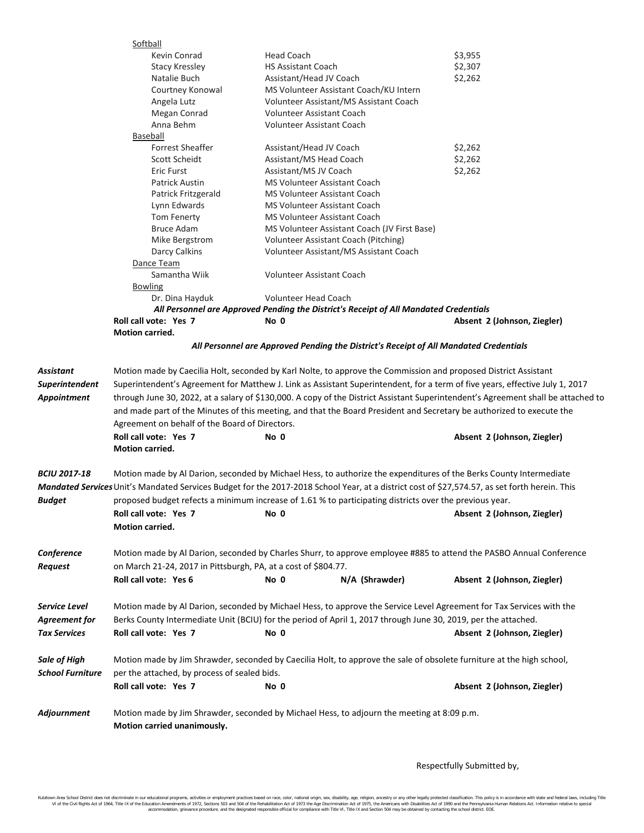|                     | Softball                                                                                                                          |                                                                                                                                                      |                             |  |  |  |  |
|---------------------|-----------------------------------------------------------------------------------------------------------------------------------|------------------------------------------------------------------------------------------------------------------------------------------------------|-----------------------------|--|--|--|--|
|                     | Kevin Conrad                                                                                                                      | <b>Head Coach</b>                                                                                                                                    | \$3,955                     |  |  |  |  |
|                     | <b>Stacy Kressley</b>                                                                                                             | <b>HS Assistant Coach</b>                                                                                                                            | \$2,307                     |  |  |  |  |
|                     | Natalie Buch                                                                                                                      | Assistant/Head JV Coach                                                                                                                              | \$2,262                     |  |  |  |  |
|                     | Courtney Konowal                                                                                                                  | MS Volunteer Assistant Coach/KU Intern                                                                                                               |                             |  |  |  |  |
|                     | Angela Lutz                                                                                                                       | Volunteer Assistant/MS Assistant Coach                                                                                                               |                             |  |  |  |  |
|                     | Megan Conrad                                                                                                                      | Volunteer Assistant Coach                                                                                                                            |                             |  |  |  |  |
|                     | Anna Behm                                                                                                                         | <b>Volunteer Assistant Coach</b>                                                                                                                     |                             |  |  |  |  |
|                     | Baseball                                                                                                                          |                                                                                                                                                      |                             |  |  |  |  |
|                     | <b>Forrest Sheaffer</b>                                                                                                           | Assistant/Head JV Coach                                                                                                                              | \$2,262                     |  |  |  |  |
|                     | Scott Scheidt                                                                                                                     | Assistant/MS Head Coach                                                                                                                              | \$2,262                     |  |  |  |  |
|                     | Eric Furst                                                                                                                        | Assistant/MS JV Coach                                                                                                                                | \$2,262                     |  |  |  |  |
|                     | Patrick Austin                                                                                                                    | MS Volunteer Assistant Coach                                                                                                                         |                             |  |  |  |  |
|                     | Patrick Fritzgerald                                                                                                               | <b>MS Volunteer Assistant Coach</b>                                                                                                                  |                             |  |  |  |  |
|                     | Lynn Edwards                                                                                                                      | MS Volunteer Assistant Coach                                                                                                                         |                             |  |  |  |  |
|                     | Tom Fenerty                                                                                                                       | MS Volunteer Assistant Coach                                                                                                                         |                             |  |  |  |  |
|                     | <b>Bruce Adam</b>                                                                                                                 | MS Volunteer Assistant Coach (JV First Base)                                                                                                         |                             |  |  |  |  |
|                     | Mike Bergstrom                                                                                                                    | Volunteer Assistant Coach (Pitching)                                                                                                                 |                             |  |  |  |  |
|                     | Darcy Calkins                                                                                                                     | Volunteer Assistant/MS Assistant Coach                                                                                                               |                             |  |  |  |  |
|                     | Dance Team                                                                                                                        |                                                                                                                                                      |                             |  |  |  |  |
|                     | Samantha Wiik                                                                                                                     | <b>Volunteer Assistant Coach</b>                                                                                                                     |                             |  |  |  |  |
|                     | <b>Bowling</b>                                                                                                                    |                                                                                                                                                      |                             |  |  |  |  |
|                     | Dr. Dina Hayduk                                                                                                                   | <b>Volunteer Head Coach</b>                                                                                                                          |                             |  |  |  |  |
|                     |                                                                                                                                   | All Personnel are Approved Pending the District's Receipt of All Mandated Credentials                                                                |                             |  |  |  |  |
|                     | Roll call vote: Yes 7                                                                                                             | No 0                                                                                                                                                 | Absent 2 (Johnson, Ziegler) |  |  |  |  |
|                     | <b>Motion carried.</b>                                                                                                            |                                                                                                                                                      |                             |  |  |  |  |
|                     |                                                                                                                                   | All Personnel are Approved Pending the District's Receipt of All Mandated Credentials                                                                |                             |  |  |  |  |
|                     |                                                                                                                                   |                                                                                                                                                      |                             |  |  |  |  |
| Assistant           |                                                                                                                                   | Motion made by Caecilia Holt, seconded by Karl Nolte, to approve the Commission and proposed District Assistant                                      |                             |  |  |  |  |
| Superintendent      | Superintendent's Agreement for Matthew J. Link as Assistant Superintendent, for a term of five years, effective July 1, 2017      |                                                                                                                                                      |                             |  |  |  |  |
| Appointment         | through June 30, 2022, at a salary of \$130,000. A copy of the District Assistant Superintendent's Agreement shall be attached to |                                                                                                                                                      |                             |  |  |  |  |
|                     | and made part of the Minutes of this meeting, and that the Board President and Secretary be authorized to execute the             |                                                                                                                                                      |                             |  |  |  |  |
|                     | Agreement on behalf of the Board of Directors.                                                                                    |                                                                                                                                                      |                             |  |  |  |  |
|                     | Roll call vote: Yes 7                                                                                                             | No 0                                                                                                                                                 | Absent 2 (Johnson, Ziegler) |  |  |  |  |
|                     | Motion carried.                                                                                                                   |                                                                                                                                                      |                             |  |  |  |  |
|                     |                                                                                                                                   |                                                                                                                                                      |                             |  |  |  |  |
| <i>BCIU 2017-18</i> |                                                                                                                                   | Motion made by Al Darion, seconded by Michael Hess, to authorize the expenditures of the Berks County Intermediate                                   |                             |  |  |  |  |
|                     |                                                                                                                                   | <b>Mandated Services</b> Unit's Mandated Services Budget for the 2017-2018 School Year, at a district cost of \$27,574.57, as set forth herein. This |                             |  |  |  |  |
| Budget              |                                                                                                                                   | proposed budget refects a minimum increase of 1.61 % to participating districts over the previous year.                                              |                             |  |  |  |  |
|                     | Roll call vote: Yes 7                                                                                                             | No 0                                                                                                                                                 | Absent 2 (Johnson, Ziegler) |  |  |  |  |
|                     | Motion carried.                                                                                                                   |                                                                                                                                                      |                             |  |  |  |  |
|                     |                                                                                                                                   |                                                                                                                                                      |                             |  |  |  |  |
| Conference          |                                                                                                                                   | Motion made by Al Darion, seconded by Charles Shurr, to approve employee #885 to attend the PASBO Annual Conference                                  |                             |  |  |  |  |
| Request             | on March 21-24, 2017 in Pittsburgh, PA, at a cost of \$804.77.                                                                    |                                                                                                                                                      |                             |  |  |  |  |
|                     | Roll call vote: Yes 6                                                                                                             | No 0<br>N/A (Shrawder)                                                                                                                               | Absent 2 (Johnson, Ziegler) |  |  |  |  |
|                     |                                                                                                                                   |                                                                                                                                                      |                             |  |  |  |  |
| Service Level       | Motion made by Al Darion, seconded by Michael Hess, to approve the Service Level Agreement for Tax Services with the              |                                                                                                                                                      |                             |  |  |  |  |
| Agreement for       |                                                                                                                                   | Berks County Intermediate Unit (BCIU) for the period of April 1, 2017 through June 30, 2019, per the attached.                                       |                             |  |  |  |  |
| <b>Tax Services</b> | Roll call vote: Yes 7                                                                                                             | No 0                                                                                                                                                 | Absent 2 (Johnson, Ziegler) |  |  |  |  |
|                     |                                                                                                                                   |                                                                                                                                                      |                             |  |  |  |  |
| Sale of High        | Motion made by Jim Shrawder, seconded by Caecilia Holt, to approve the sale of obsolete furniture at the high school,             |                                                                                                                                                      |                             |  |  |  |  |
| School Furniture    | per the attached, by process of sealed bids.                                                                                      |                                                                                                                                                      |                             |  |  |  |  |
|                     | Roll call vote: Yes 7                                                                                                             | No 0                                                                                                                                                 | Absent 2 (Johnson, Ziegler) |  |  |  |  |
|                     |                                                                                                                                   |                                                                                                                                                      |                             |  |  |  |  |
| <b>Adjournment</b>  | Motion made by Jim Shrawder, seconded by Michael Hess, to adjourn the meeting at 8:09 p.m.                                        |                                                                                                                                                      |                             |  |  |  |  |
|                     | Motion carried unanimously.                                                                                                       |                                                                                                                                                      |                             |  |  |  |  |
|                     |                                                                                                                                   |                                                                                                                                                      |                             |  |  |  |  |

Respectfully Submitted by,